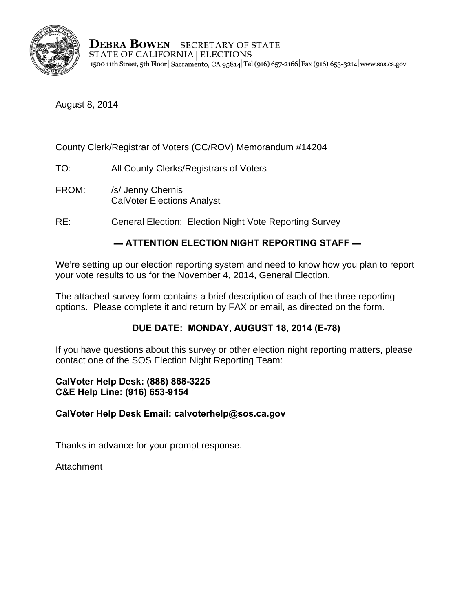

**DEBRA BOWEN | SECRETARY OF STATE** STATE OF CALIFORNIA | ELECTIONS 1500 11th Street, 5th Floor | Sacramento, CA 95814 Tel (916) 657-2166 | Fax (916) 653-3214 | www.sos.ca.gov

August 8, 2014

### County Clerk/Registrar of Voters (CC/ROV) Memorandum #14204

- TO: All County Clerks/Registrars of Voters
- FROM: /s/ Jenny Chernis CalVoter Elections Analyst
- RE: General Election: Election Night Vote Reporting Survey

# $-$  ATTENTION ELECTION NIGHT REPORTING STAFF  $-$

We're setting up our election reporting system and need to know how you plan to report your vote results to us for the November 4, 2014, General Election.

The attached survey form contains a brief description of each of the three reporting options. Please complete it and return by FAX or email, as directed on the form.

### **DUE DATE: MONDAY, AUGUST 18, 2014 (E-78)**

If you have questions about this survey or other election night reporting matters, please contact one of the SOS Election Night Reporting Team:

#### **CalVoter Help Desk: (888) 868-3225 C&E Help Line: (916) 653-9154**

#### **CalVoter Help Desk Email: calvoterhelp@sos.ca.gov**

Thanks in advance for your prompt response.

Attachment